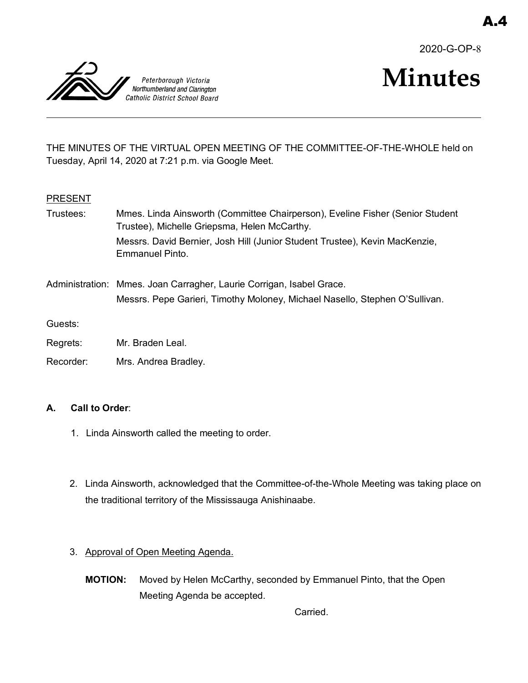2020-G-OP-8



# **Minutes**

THE MINUTES OF THE VIRTUAL OPEN MEETING OF THE COMMITTEE-OF-THE-WHOLE held on Tuesday, April 14, 2020 at 7:21 p.m. via Google Meet.

## **PRESENT**

| Trustees: | Mmes. Linda Ainsworth (Committee Chairperson), Eveline Fisher (Senior Student<br>Trustee), Michelle Griepsma, Helen McCarthy.                       |
|-----------|-----------------------------------------------------------------------------------------------------------------------------------------------------|
|           | Messrs. David Bernier, Josh Hill (Junior Student Trustee), Kevin MacKenzie,<br>Emmanuel Pinto.                                                      |
|           | Administration: Mmes. Joan Carragher, Laurie Corrigan, Isabel Grace.<br>Messrs. Pepe Garieri, Timothy Moloney, Michael Nasello, Stephen O'Sullivan. |
| Guests:   |                                                                                                                                                     |
| Regrets:  | Mr. Braden Leal.                                                                                                                                    |

Recorder: Mrs. Andrea Bradley.

# **A. Call to Order**:

- 1. Linda Ainsworth called the meeting to order.
- 2. Linda Ainsworth, acknowledged that the Committee-of-the-Whole Meeting was taking place on the traditional territory of the Mississauga Anishinaabe.
- 3. Approval of Open Meeting Agenda.
	- **MOTION:** Moved by Helen McCarthy, seconded by Emmanuel Pinto, that the Open Meeting Agenda be accepted.

Carried.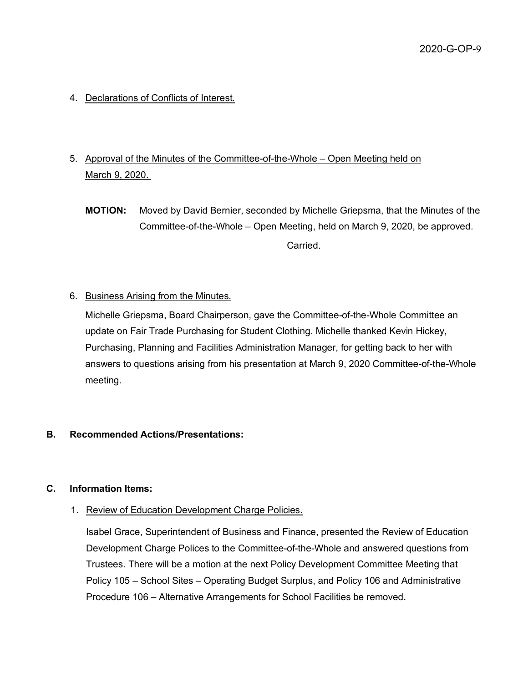- 4. Declarations of Conflicts of Interest.
- 5. Approval of the Minutes of the Committee-of-the-Whole Open Meeting held on March 9, 2020.
	- **MOTION:** Moved by David Bernier, seconded by Michelle Griepsma, that the Minutes of the Committee-of-the-Whole – Open Meeting, held on March 9, 2020, be approved. Carried.
- 6. Business Arising from the Minutes.

Michelle Griepsma, Board Chairperson, gave the Committee-of-the-Whole Committee an update on Fair Trade Purchasing for Student Clothing. Michelle thanked Kevin Hickey, Purchasing, Planning and Facilities Administration Manager, for getting back to her with answers to questions arising from his presentation at March 9, 2020 Committee-of-the-Whole meeting.

## **B. Recommended Actions/Presentations:**

#### **C. Information Items:**

1. Review of Education Development Charge Policies.

Isabel Grace, Superintendent of Business and Finance, presented the Review of Education Development Charge Polices to the Committee-of-the-Whole and answered questions from Trustees. There will be a motion at the next Policy Development Committee Meeting that Policy 105 – School Sites – Operating Budget Surplus, and Policy 106 and Administrative Procedure 106 – Alternative Arrangements for School Facilities be removed.